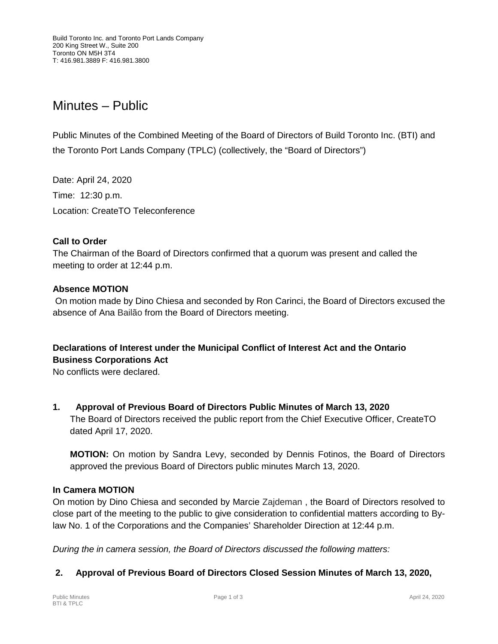# Minutes – Public

Public Minutes of the Combined Meeting of the Board of Directors of Build Toronto Inc. (BTI) and the Toronto Port Lands Company (TPLC) (collectively, the "Board of Directors")

Date: April 24, 2020 Time: 12:30 p.m. Location: CreateTO Teleconference

## **Call to Order**

The Chairman of the Board of Directors confirmed that a quorum was present and called the meeting to order at 12:44 p.m.

## **Absence MOTION**

On motion made by Dino Chiesa and seconded by Ron Carinci, the Board of Directors excused the absence of Ana Bailão from the Board of Directors meeting.

**Declarations of Interest under the Municipal Conflict of Interest Act and the Ontario Business Corporations Act**

No conflicts were declared.

**1. Approval of Previous Board of Directors Public Minutes of March 13, 2020** The Board of Directors received the public report from the Chief Executive Officer, CreateTO dated April 17, 2020.

**MOTION:** On motion by Sandra Levy, seconded by Dennis Fotinos, the Board of Directors approved the previous Board of Directors public minutes March 13, 2020.

## **In Camera MOTION**

On motion by Dino Chiesa and seconded by Marcie Zajdeman , the Board of Directors resolved to close part of the meeting to the public to give consideration to confidential matters according to Bylaw No. 1 of the Corporations and the Companies' Shareholder Direction at 12:44 p.m.

*During the in camera session, the Board of Directors discussed the following matters:*

# **2. Approval of Previous Board of Directors Closed Session Minutes of March 13, 2020,**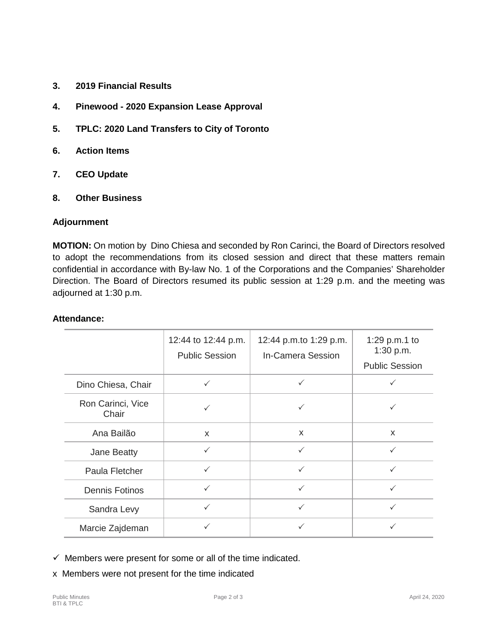- **3. 2019 Financial Results**
- **4. Pinewood - 2020 Expansion Lease Approval**
- **5. TPLC: 2020 Land Transfers to City of Toronto**
- **6. Action Items**
- **7. CEO Update**
- **8. Other Business**

#### **Adjournment**

**MOTION:** On motion by Dino Chiesa and seconded by Ron Carinci, the Board of Directors resolved to adopt the recommendations from its closed session and direct that these matters remain confidential in accordance with By-law No. 1 of the Corporations and the Companies' Shareholder Direction. The Board of Directors resumed its public session at 1:29 p.m. and the meeting was adjourned at 1:30 p.m.

#### **Attendance:**

|                            | 12:44 to 12:44 p.m.<br><b>Public Session</b> | 12:44 p.m.to 1:29 p.m.<br>In-Camera Session | 1:29 p.m.1 to<br>1:30 p.m.<br><b>Public Session</b> |
|----------------------------|----------------------------------------------|---------------------------------------------|-----------------------------------------------------|
| Dino Chiesa, Chair         | $\checkmark$                                 | $\checkmark$                                |                                                     |
| Ron Carinci, Vice<br>Chair |                                              |                                             |                                                     |
| Ana Bailão                 | X                                            | $\mathsf{x}$                                | X                                                   |
| Jane Beatty                | $\checkmark$                                 | $\checkmark$                                | $\checkmark$                                        |
| Paula Fletcher             | $\checkmark$                                 | $\checkmark$                                | ✓                                                   |
| <b>Dennis Fotinos</b>      | $\checkmark$                                 | $\checkmark$                                | $\checkmark$                                        |
| Sandra Levy                | $\checkmark$                                 | $\checkmark$                                | $\checkmark$                                        |
| Marcie Zajdeman            |                                              | ✓                                           |                                                     |

 $\checkmark$  Members were present for some or all of the time indicated.

x Members were not present for the time indicated